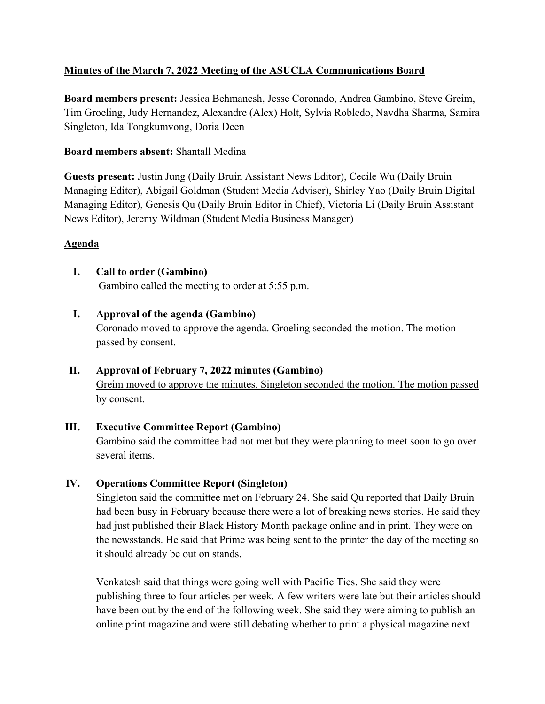# **Minutes of the March 7, 2022 Meeting of the ASUCLA Communications Board**

**Board members present:** Jessica Behmanesh, Jesse Coronado, Andrea Gambino, Steve Greim, Tim Groeling, Judy Hernandez, Alexandre (Alex) Holt, Sylvia Robledo, Navdha Sharma, Samira Singleton, Ida Tongkumvong, Doria Deen

## **Board members absent:** Shantall Medina

**Guests present:** Justin Jung (Daily Bruin Assistant News Editor), Cecile Wu (Daily Bruin Managing Editor), Abigail Goldman (Student Media Adviser), Shirley Yao (Daily Bruin Digital Managing Editor), Genesis Qu (Daily Bruin Editor in Chief), Victoria Li (Daily Bruin Assistant News Editor), Jeremy Wildman (Student Media Business Manager)

# **Agenda**

- **I. Call to order (Gambino)** Gambino called the meeting to order at 5:55 p.m.
- **I. Approval of the agenda (Gambino)** Coronado moved to approve the agenda. Groeling seconded the motion. The motion passed by consent.
- **II. Approval of February 7, 2022 minutes (Gambino)** Greim moved to approve the minutes. Singleton seconded the motion. The motion passed by consent.
- **III. Executive Committee Report (Gambino)** Gambino said the committee had not met but they were planning to meet soon to go over several items.

### **IV. Operations Committee Report (Singleton)**

Singleton said the committee met on February 24. She said Qu reported that Daily Bruin had been busy in February because there were a lot of breaking news stories. He said they had just published their Black History Month package online and in print. They were on the newsstands. He said that Prime was being sent to the printer the day of the meeting so it should already be out on stands.

Venkatesh said that things were going well with Pacific Ties. She said they were publishing three to four articles per week. A few writers were late but their articles should have been out by the end of the following week. She said they were aiming to publish an online print magazine and were still debating whether to print a physical magazine next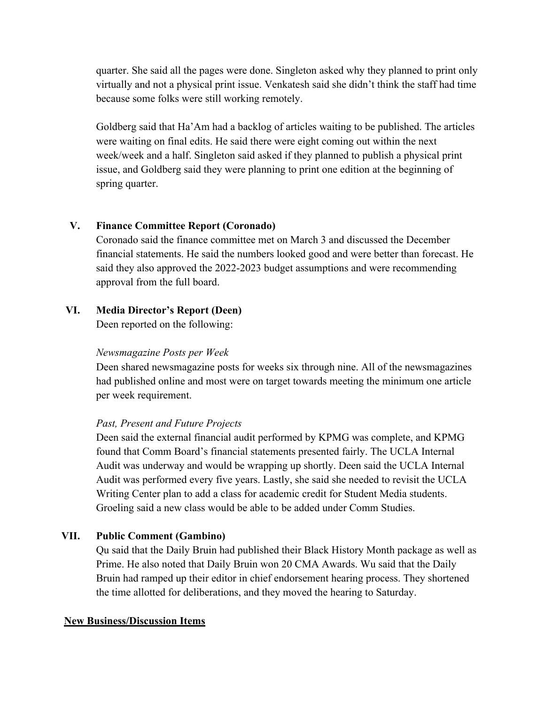quarter. She said all the pages were done. Singleton asked why they planned to print only virtually and not a physical print issue. Venkatesh said she didn't think the staff had time because some folks were still working remotely.

Goldberg said that Ha'Am had a backlog of articles waiting to be published. The articles were waiting on final edits. He said there were eight coming out within the next week/week and a half. Singleton said asked if they planned to publish a physical print issue, and Goldberg said they were planning to print one edition at the beginning of spring quarter.

#### **V. Finance Committee Report (Coronado)**

Coronado said the finance committee met on March 3 and discussed the December financial statements. He said the numbers looked good and were better than forecast. He said they also approved the 2022-2023 budget assumptions and were recommending approval from the full board.

#### **VI. Media Director's Report (Deen)**

Deen reported on the following:

#### *Newsmagazine Posts per Week*

Deen shared newsmagazine posts for weeks six through nine. All of the newsmagazines had published online and most were on target towards meeting the minimum one article per week requirement.

### *Past, Present and Future Projects*

Deen said the external financial audit performed by KPMG was complete, and KPMG found that Comm Board's financial statements presented fairly. The UCLA Internal Audit was underway and would be wrapping up shortly. Deen said the UCLA Internal Audit was performed every five years. Lastly, she said she needed to revisit the UCLA Writing Center plan to add a class for academic credit for Student Media students. Groeling said a new class would be able to be added under Comm Studies.

### **VII. Public Comment (Gambino)**

Qu said that the Daily Bruin had published their Black History Month package as well as Prime. He also noted that Daily Bruin won 20 CMA Awards. Wu said that the Daily Bruin had ramped up their editor in chief endorsement hearing process. They shortened the time allotted for deliberations, and they moved the hearing to Saturday.

#### **New Business/Discussion Items**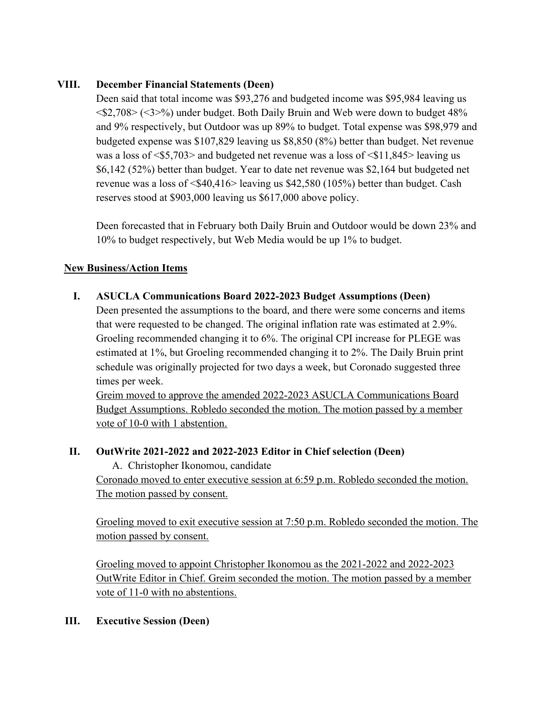# **VIII. December Financial Statements (Deen)**

Deen said that total income was \$93,276 and budgeted income was \$95,984 leaving us <\$2,708> (<3>%) under budget. Both Daily Bruin and Web were down to budget 48% and 9% respectively, but Outdoor was up 89% to budget. Total expense was \$98,979 and budgeted expense was \$107,829 leaving us \$8,850 (8%) better than budget. Net revenue was a loss of  $\langle $5,703 \rangle$  and budgeted net revenue was a loss of  $\langle $11,845 \rangle$  leaving us \$6,142 (52%) better than budget. Year to date net revenue was \$2,164 but budgeted net revenue was a loss of  $\leq$  \$40,416 $>$  leaving us \$42,580 (105%) better than budget. Cash reserves stood at \$903,000 leaving us \$617,000 above policy.

Deen forecasted that in February both Daily Bruin and Outdoor would be down 23% and 10% to budget respectively, but Web Media would be up 1% to budget.

# **New Business/Action Items**

**I. ASUCLA Communications Board 2022-2023 Budget Assumptions (Deen)**

Deen presented the assumptions to the board, and there were some concerns and items that were requested to be changed. The original inflation rate was estimated at 2.9%. Groeling recommended changing it to 6%. The original CPI increase for PLEGE was estimated at 1%, but Groeling recommended changing it to 2%. The Daily Bruin print schedule was originally projected for two days a week, but Coronado suggested three times per week.

Greim moved to approve the amended 2022-2023 ASUCLA Communications Board Budget Assumptions. Robledo seconded the motion. The motion passed by a member vote of 10-0 with 1 abstention.

### **II. OutWrite 2021-2022 and 2022-2023 Editor in Chief selection (Deen)**

A. Christopher Ikonomou, candidate Coronado moved to enter executive session at 6:59 p.m. Robledo seconded the motion. The motion passed by consent.

Groeling moved to exit executive session at 7:50 p.m. Robledo seconded the motion. The motion passed by consent.

Groeling moved to appoint Christopher Ikonomou as the 2021-2022 and 2022-2023 OutWrite Editor in Chief. Greim seconded the motion. The motion passed by a member vote of 11-0 with no abstentions.

### **III. Executive Session (Deen)**